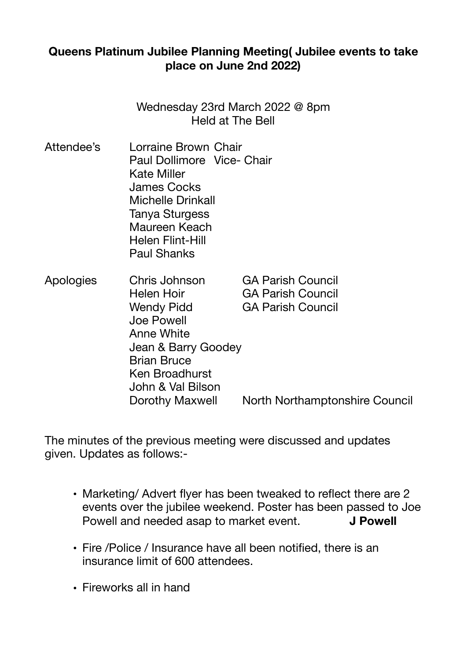## **Queens Platinum Jubilee Planning Meeting( Jubilee events to take place on June 2nd 2022)**

Wednesday 23rd March 2022 @ 8pm Held at The Bell

- Attendee's Lorraine Brown Chair Paul Dollimore Vice- Chair Kate Miller James Cocks Michelle Drinkall Tanya Sturgess Maureen Keach Helen Flint-Hill Paul Shanks
- Apologies Chris Johnson GA Parish Council Helen Hoir **GA Parish Council** Wendy Pidd **GA Parish Council**  Joe Powell Anne White Jean & Barry Goodey Brian Bruce Ken Broadhurst John & Val Bilson Dorothy Maxwell North Northamptonshire Council

The minutes of the previous meeting were discussed and updates given. Updates as follows:-

- Marketing/ Advert flyer has been tweaked to reflect there are 2 events over the jubilee weekend. Poster has been passed to Joe Powell and needed asap to market event. **J Powell**
- Fire /Police / Insurance have all been notified, there is an insurance limit of 600 attendees.
- Fireworks all in hand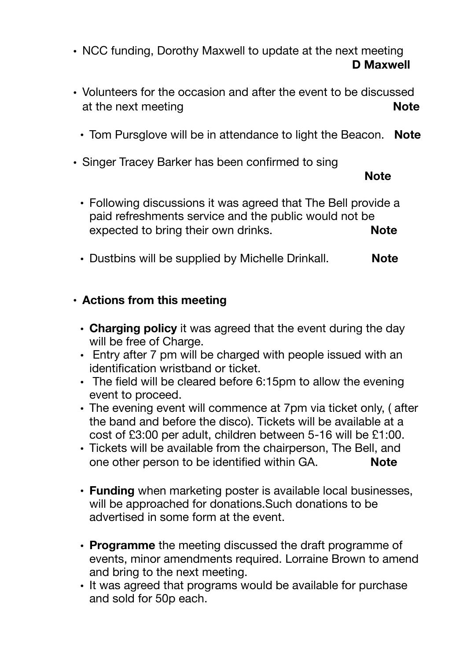• NCC funding, Dorothy Maxwell to update at the next meeting **D Maxwell** 

- Volunteers for the occasion and after the event to be discussed at the next meeting **Note Note** 
	- Tom Pursglove will be in attendance to light the Beacon. **Note**
- Singer Tracey Barker has been confirmed to sing

 **Note** 

- Following discussions it was agreed that The Bell provide a paid refreshments service and the public would not be expected to bring their own drinks. **Note**
- Dustbins will be supplied by Michelle Drinkall. **Note**

## • **Actions from this meeting**

- **Charging policy** it was agreed that the event during the day will be free of Charge.
- Entry after 7 pm will be charged with people issued with an identification wristband or ticket.
- The field will be cleared before 6:15pm to allow the evening event to proceed.
- The evening event will commence at 7pm via ticket only, ( after the band and before the disco). Tickets will be available at a cost of £3:00 per adult, children between 5-16 will be £1:00.
- Tickets will be available from the chairperson, The Bell, and one other person to be identified within GA. **Note**
- **Funding** when marketing poster is available local businesses, will be approached for donations.Such donations to be advertised in some form at the event.
- **Programme** the meeting discussed the draft programme of events, minor amendments required. Lorraine Brown to amend and bring to the next meeting.
- It was agreed that programs would be available for purchase and sold for 50p each.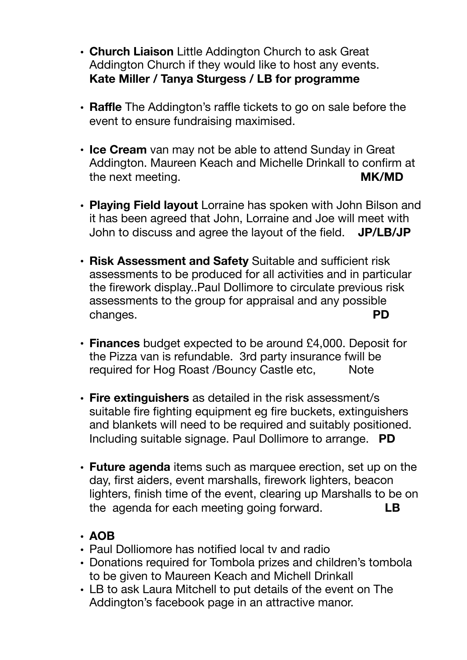- **Church Liaison** Little Addington Church to ask Great Addington Church if they would like to host any events. **Kate Miller / Tanya Sturgess / LB for programme**
- **Raffle** The Addington's raffle tickets to go on sale before the event to ensure fundraising maximised.
- **Ice Cream** van may not be able to attend Sunday in Great Addington. Maureen Keach and Michelle Drinkall to confirm at the next meeting. **MK/MD**
- **Playing Field layout** Lorraine has spoken with John Bilson and it has been agreed that John, Lorraine and Joe will meet with John to discuss and agree the layout of the field. **JP/LB/JP**
- **Risk Assessment and Safety** Suitable and sufficient risk assessments to be produced for all activities and in particular the firework display..Paul Dollimore to circulate previous risk assessments to the group for appraisal and any possible changes. **PD**
- **Finances** budget expected to be around £4,000. Deposit for the Pizza van is refundable. 3rd party insurance fwill be required for Hog Roast /Bouncy Castle etc, Note
- **Fire extinguishers** as detailed in the risk assessment/s suitable fire fighting equipment eg fire buckets, extinguishers and blankets will need to be required and suitably positioned. Including suitable signage. Paul Dollimore to arrange. **PD**
- **Future agenda** items such as marquee erection, set up on the day, first aiders, event marshalls, firework lighters, beacon lighters, finish time of the event, clearing up Marshalls to be on the agenda for each meeting going forward. **LB**

## • **AOB**

- Paul Dolliomore has notified local tv and radio
- Donations required for Tombola prizes and children's tombola to be given to Maureen Keach and Michell Drinkall
- LB to ask Laura Mitchell to put details of the event on The Addington's facebook page in an attractive manor.